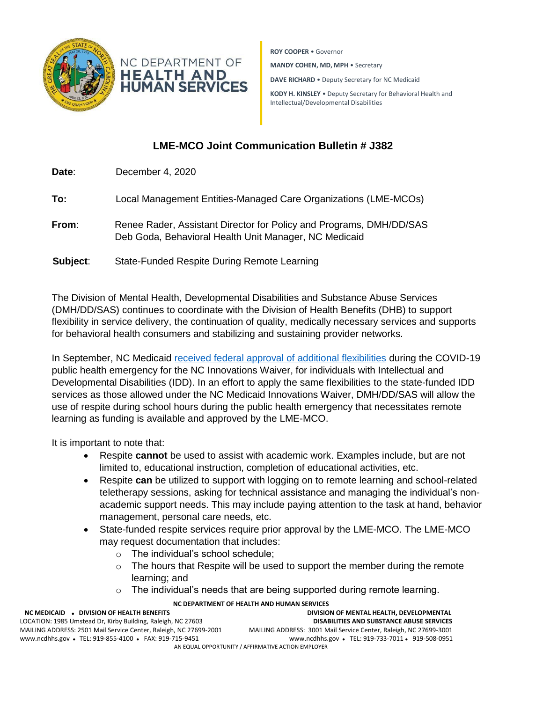



**ROY COOPER** • Governor

**MANDY COHEN, MD, MPH** • Secretary

**DAVE RICHARD** • Deputy Secretary for NC Medicaid

**KODY H. KINSLEY** • Deputy Secretary for Behavioral Health and Intellectual/Developmental Disabilities

## **LME-MCO Joint Communication Bulletin # J382**

**Date**: December 4, 2020 **To:** Local Management Entities-Managed Care Organizations (LME-MCOs) **From**: Renee Rader, Assistant Director for Policy and Programs, DMH/DD/SAS Deb Goda, Behavioral Health Unit Manager, NC Medicaid **Subject**: State-Funded Respite During Remote Learning

The Division of Mental Health, Developmental Disabilities and Substance Abuse Services (DMH/DD/SAS) continues to coordinate with the Division of Health Benefits (DHB) to support flexibility in service delivery, the continuation of quality, medically necessary services and supports for behavioral health consumers and stabilizing and sustaining provider networks.

In September, NC Medicaid [received federal approval of additional flexibilities](https://medicaid.ncdhhs.gov/blog/2020/09/23/special-bulletin-covid-19-136-nc-medicaid-receives-approval-expanded-flexibilities) during the COVID-19 public health emergency for the NC Innovations Waiver, for individuals with Intellectual and Developmental Disabilities (IDD). In an effort to apply the same flexibilities to the state-funded IDD services as those allowed under the NC Medicaid Innovations Waiver, DMH/DD/SAS will allow the use of respite during school hours during the public health emergency that necessitates remote learning as funding is available and approved by the LME-MCO.

It is important to note that:

- Respite **cannot** be used to assist with academic work. Examples include, but are not limited to, educational instruction, completion of educational activities, etc.
- Respite **can** be utilized to support with logging on to remote learning and school-related teletherapy sessions, asking for technical assistance and managing the individual's nonacademic support needs. This may include paying attention to the task at hand, behavior management, personal care needs, etc.
- State-funded respite services require prior approval by the LME-MCO. The LME-MCO may request documentation that includes:
	- o The individual's school schedule;
	- o The hours that Respite will be used to support the member during the remote learning; and
	- o The individual's needs that are being supported during remote learning.

## **NC DEPARTMENT OF HEALTH AND HUMAN SERVICES**

| NC MEDICAID . DIVISION OF HEALTH BENEFITS                         | DIVISION OF MENTAL HEALTH, DEVELOPMENTAL                          |
|-------------------------------------------------------------------|-------------------------------------------------------------------|
| LOCATION: 1985 Umstead Dr. Kirby Building, Raleigh, NC 27603      | <b>DISABILITIES AND SUBSTANCE ABUSE SERVICES</b>                  |
| MAILING ADDRESS: 2501 Mail Service Center, Raleigh, NC 27699-2001 | MAILING ADDRESS: 3001 Mail Service Center, Raleigh, NC 27699-3001 |
| www.ncdhhs.gov • TEL: 919-855-4100 • FAX: 919-715-9451            | www.ncdhhs.gov • TEL: 919-733-7011 • 919-508-0951                 |
| AN EQUAL OPPORTUNITY / AFFIRMATIVE ACTION EMPLOYER                |                                                                   |